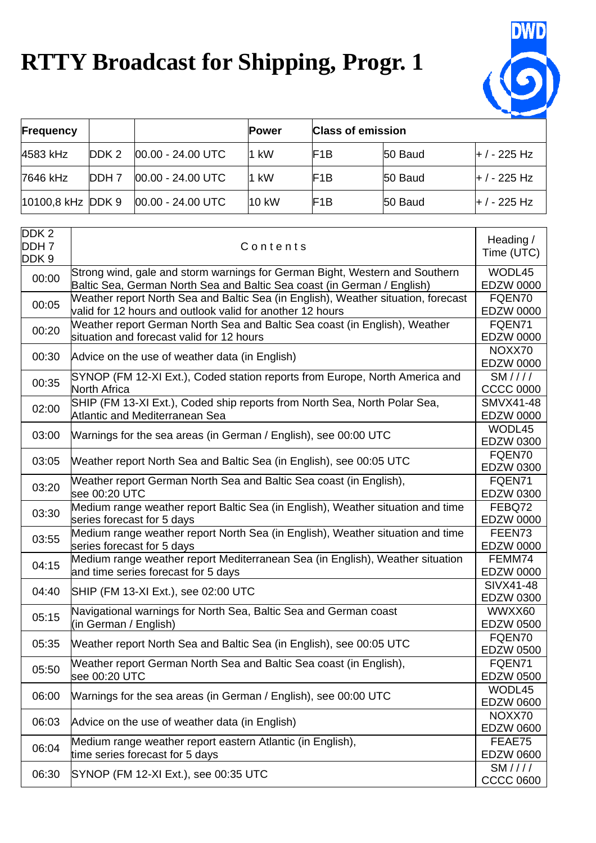## **RTTY Broadcast for Shipping, Progr. 1**



| Frequency         |                  |                               | <b>Power</b> | <b>Class of emission</b> |         |                |
|-------------------|------------------|-------------------------------|--------------|--------------------------|---------|----------------|
| 4583 kHz          | DDK <sub>2</sub> | 00.00 - 24.00 UTC             | 1 kW         | F1B                      | 50 Baud | $+$ / - 225 Hz |
| 7646 kHz          | DDH 7            | $ 00.00 - 24.00 \text{ UTC} $ | 1 kW         | F1B                      | 50 Baud | $+$ / - 225 Hz |
| 10100,8 kHz DDK 9 |                  | 00.00 - 24.00 UTC             | 10 kW        | F <sub>1</sub> B         | 50 Baud | $H / - 225 Hz$ |

| DDK <sub>2</sub> |                                                                                                                      | Heading /                  |
|------------------|----------------------------------------------------------------------------------------------------------------------|----------------------------|
| DDH <sub>7</sub> | Contents                                                                                                             | Time (UTC)                 |
| DDK9             |                                                                                                                      |                            |
| 00:00            | Strong wind, gale and storm warnings for German Bight, Western and Southern                                          | WODL45                     |
|                  | Baltic Sea, German North Sea and Baltic Sea coast (in German / English)                                              | <b>EDZW 0000</b>           |
| 00:05            | Weather report North Sea and Baltic Sea (in English), Weather situation, forecast                                    | FQEN70                     |
|                  | valid for 12 hours and outlook valid for another 12 hours                                                            | <b>EDZW 0000</b>           |
| 00:20            | Weather report German North Sea and Baltic Sea coast (in English), Weather                                           | FQEN71                     |
|                  | situation and forecast valid for 12 hours                                                                            | <b>EDZW 0000</b><br>NOXX70 |
| 00:30            | Advice on the use of weather data (in English)                                                                       |                            |
|                  |                                                                                                                      |                            |
| North Africa     | <b>CCCC 0000</b>                                                                                                     |                            |
| 02:00            | SHIP (FM 13-XI Ext.), Coded ship reports from North Sea, North Polar Sea,                                            | <b>SMVX41-48</b>           |
|                  | Atlantic and Mediterranean Sea                                                                                       | <b>EDZW 0000</b>           |
| 03:00            |                                                                                                                      | WODL45                     |
|                  | Warnings for the sea areas (in German / English), see 00:00 UTC                                                      | <b>EDZW 0300</b>           |
| 03:05            |                                                                                                                      | FQEN70                     |
|                  | Weather report North Sea and Baltic Sea (in English), see 00:05 UTC                                                  | EDZW 0300                  |
| 03:20            | Weather report German North Sea and Baltic Sea coast (in English),                                                   |                            |
|                  | see 00:20 UTC                                                                                                        | EDZW 0300                  |
|                  | Medium range weather report Baltic Sea (in English), Weather situation and time                                      | FEBQ72                     |
| 03:30            | series forecast for 5 days                                                                                           | <b>EDZW 0000</b>           |
|                  | Medium range weather report North Sea (in English), Weather situation and time<br>series forecast for 5 days         |                            |
| 03:55            |                                                                                                                      |                            |
| 04:15            | Medium range weather report Mediterranean Sea (in English), Weather situation<br>and time series forecast for 5 days |                            |
|                  |                                                                                                                      |                            |
|                  | SHIP (FM 13-XI Ext.), see 02:00 UTC                                                                                  |                            |
| 04:40            |                                                                                                                      |                            |
|                  | Navigational warnings for North Sea, Baltic Sea and German coast                                                     | WWXX60                     |
| 05:15            | (in German / English)                                                                                                | <b>EDZW 0500</b>           |
|                  |                                                                                                                      |                            |
| 05:35            | Weather report North Sea and Baltic Sea (in English), see 00:05 UTC                                                  | <b>EDZW 0500</b>           |
|                  | Weather report German North Sea and Baltic Sea coast (in English),                                                   | FQEN71                     |
| 05:50            | see 00:20 UTC                                                                                                        |                            |
|                  |                                                                                                                      | WODL45                     |
| 06:00            | Warnings for the sea areas (in German / English), see 00:00 UTC                                                      |                            |
| 06:03            | Advice on the use of weather data (in English)                                                                       |                            |
|                  |                                                                                                                      |                            |
|                  |                                                                                                                      |                            |
| 06:30            | SYNOP (FM 12-XI Ext.), see 00:35 UTC                                                                                 | SM////<br><b>CCCC 0600</b> |
|                  |                                                                                                                      |                            |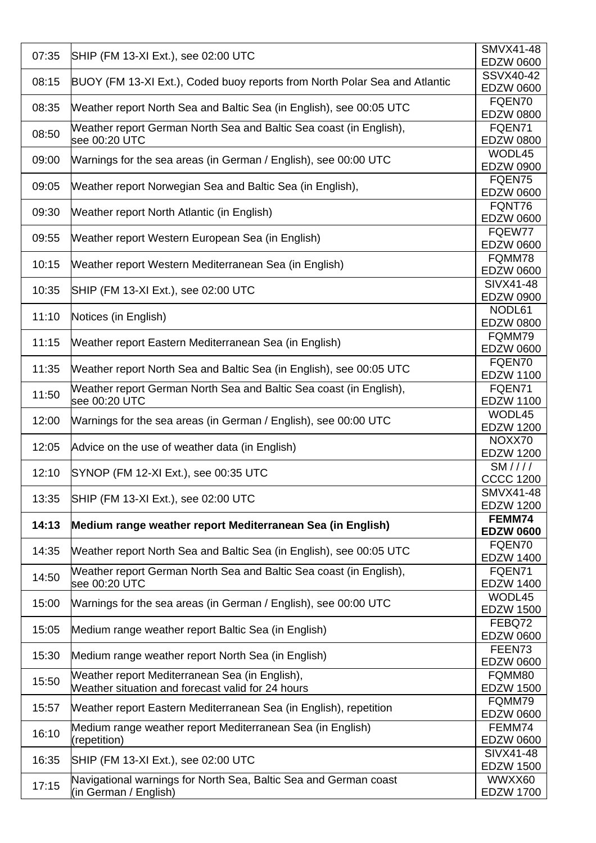| 07:35 | SHIP (FM 13-XI Ext.), see 02:00 UTC                                                                 | <b>SMVX41-48</b>                     |
|-------|-----------------------------------------------------------------------------------------------------|--------------------------------------|
|       |                                                                                                     | <b>EDZW 0600</b>                     |
| 08:15 | BUOY (FM 13-XI Ext.), Coded buoy reports from North Polar Sea and Atlantic                          | SSVX40-42                            |
|       |                                                                                                     | <b>EDZW 0600</b><br>FQEN70           |
| 08:35 | Weather report North Sea and Baltic Sea (in English), see 00:05 UTC                                 | <b>EDZW 0800</b>                     |
|       | Weather report German North Sea and Baltic Sea coast (in English),                                  | FQEN71                               |
| 08:50 | see 00:20 UTC                                                                                       | <b>EDZW 0800</b>                     |
| 09:00 | Warnings for the sea areas (in German / English), see 00:00 UTC                                     | WODL45                               |
|       |                                                                                                     | <b>EDZW 0900</b>                     |
| 09:05 | Weather report Norwegian Sea and Baltic Sea (in English),                                           | FQEN75<br><b>EDZW 0600</b>           |
| 09:30 | Weather report North Atlantic (in English)                                                          | FQNT76                               |
|       |                                                                                                     | <b>EDZW 0600</b>                     |
| 09:55 | Weather report Western European Sea (in English)                                                    | FQEW77<br><b>EDZW 0600</b>           |
|       |                                                                                                     | FQMM78                               |
| 10:15 | Weather report Western Mediterranean Sea (in English)                                               | <b>EDZW 0600</b>                     |
| 10:35 | SHIP (FM 13-XI Ext.), see 02:00 UTC                                                                 | SIVX41-48                            |
|       |                                                                                                     | <b>EDZW 0900</b>                     |
| 11:10 | Notices (in English)                                                                                | NODL61<br><b>EDZW 0800</b>           |
|       |                                                                                                     | FQMM79                               |
| 11:15 | Weather report Eastern Mediterranean Sea (in English)                                               | <b>EDZW 0600</b>                     |
| 11:35 | Weather report North Sea and Baltic Sea (in English), see 00:05 UTC                                 | FQEN70                               |
|       |                                                                                                     | <b>EDZW 1100</b>                     |
| 11:50 | Weather report German North Sea and Baltic Sea coast (in English),<br>see 00:20 UTC                 | FQEN71<br><b>EDZW 1100</b>           |
|       |                                                                                                     | WODL45                               |
| 12:00 | Warnings for the sea areas (in German / English), see 00:00 UTC                                     | <b>EDZW 1200</b>                     |
| 12:05 | Advice on the use of weather data (in English)                                                      | NOXX70                               |
|       |                                                                                                     | <b>EDZW 1200</b>                     |
| 12:10 | SYNOP (FM 12-XI Ext.), see 00:35 UTC                                                                | SM///                                |
|       |                                                                                                     | <b>CCCC 1200</b><br><b>SMVX41-48</b> |
| 13:35 | SHIP (FM 13-XI Ext.), see 02:00 UTC                                                                 | <b>EDZW 1200</b>                     |
| 14:13 |                                                                                                     | FEMM74                               |
|       | Medium range weather report Mediterranean Sea (in English)                                          | <b>EDZW 0600</b>                     |
| 14:35 | Weather report North Sea and Baltic Sea (in English), see 00:05 UTC                                 | FQEN70<br><b>EDZW 1400</b>           |
|       | Weather report German North Sea and Baltic Sea coast (in English),                                  | FQEN71                               |
| 14:50 | see 00:20 UTC                                                                                       | <b>EDZW 1400</b>                     |
| 15:00 | Warnings for the sea areas (in German / English), see 00:00 UTC                                     | WODL45                               |
|       |                                                                                                     | <b>EDZW 1500</b>                     |
| 15:05 | Medium range weather report Baltic Sea (in English)                                                 | FEBQ72<br><b>EDZW 0600</b>           |
| 15:30 | Medium range weather report North Sea (in English)                                                  | FEEN73                               |
|       |                                                                                                     | <b>EDZW 0600</b>                     |
| 15:50 | Weather report Mediterranean Sea (in English),<br>Weather situation and forecast valid for 24 hours | FQMM80<br><b>EDZW 1500</b>           |
| 15:57 | Weather report Eastern Mediterranean Sea (in English), repetition                                   | FQMM79<br><b>EDZW 0600</b>           |
|       | Medium range weather report Mediterranean Sea (in English)                                          |                                      |
| 16:10 | (repetition)                                                                                        | FEMM74<br><b>EDZW 0600</b>           |
| 16:35 | SHIP (FM 13-XI Ext.), see 02:00 UTC                                                                 | SIVX41-48                            |
|       |                                                                                                     | <b>EDZW 1500</b>                     |
| 17:15 | Navigational warnings for North Sea, Baltic Sea and German coast<br>(in German / English)           | WWXX60<br><b>EDZW 1700</b>           |
|       |                                                                                                     |                                      |